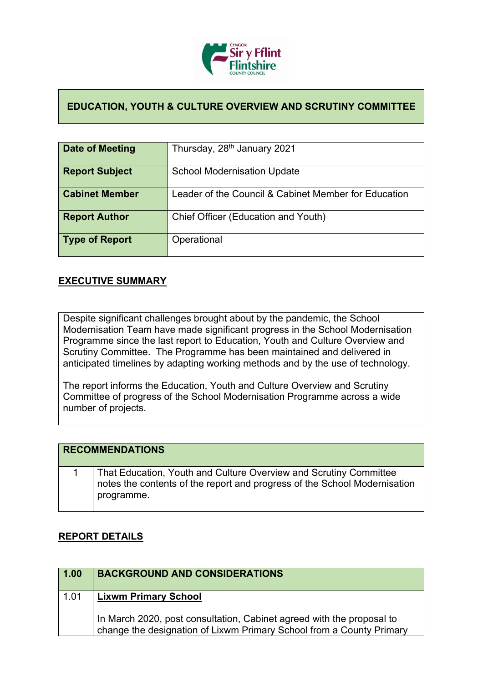

## **EDUCATION, YOUTH & CULTURE OVERVIEW AND SCRUTINY COMMITTEE**

| Date of Meeting       | Thursday, 28 <sup>th</sup> January 2021              |
|-----------------------|------------------------------------------------------|
| <b>Report Subject</b> | <b>School Modernisation Update</b>                   |
| <b>Cabinet Member</b> | Leader of the Council & Cabinet Member for Education |
| <b>Report Author</b>  | Chief Officer (Education and Youth)                  |
| Type of Report        | Operational                                          |

## **EXECUTIVE SUMMARY**

Despite significant challenges brought about by the pandemic, the School Modernisation Team have made significant progress in the School Modernisation Programme since the last report to Education, Youth and Culture Overview and Scrutiny Committee. The Programme has been maintained and delivered in anticipated timelines by adapting working methods and by the use of technology.

The report informs the Education, Youth and Culture Overview and Scrutiny Committee of progress of the School Modernisation Programme across a wide number of projects.

|  | <b>RECOMMENDATIONS</b>                                                                                                                                       |
|--|--------------------------------------------------------------------------------------------------------------------------------------------------------------|
|  | That Education, Youth and Culture Overview and Scrutiny Committee<br>notes the contents of the report and progress of the School Modernisation<br>programme. |

## **REPORT DETAILS**

| 1.00 | <b>BACKGROUND AND CONSIDERATIONS</b>                                                                                                          |
|------|-----------------------------------------------------------------------------------------------------------------------------------------------|
| 1.01 | <b>Lixwm Primary School</b>                                                                                                                   |
|      | In March 2020, post consultation, Cabinet agreed with the proposal to<br>change the designation of Lixwm Primary School from a County Primary |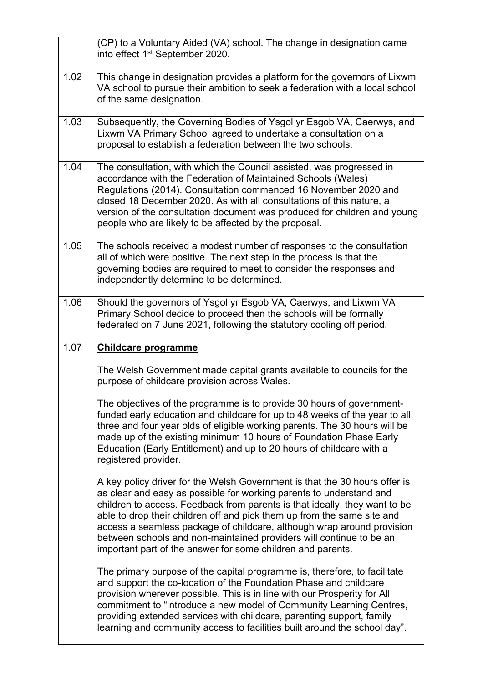|      | (CP) to a Voluntary Aided (VA) school. The change in designation came<br>into effect 1 <sup>st</sup> September 2020.                                                                                                                                                                                                                                                                                                                                                                                                       |
|------|----------------------------------------------------------------------------------------------------------------------------------------------------------------------------------------------------------------------------------------------------------------------------------------------------------------------------------------------------------------------------------------------------------------------------------------------------------------------------------------------------------------------------|
| 1.02 | This change in designation provides a platform for the governors of Lixwm<br>VA school to pursue their ambition to seek a federation with a local school<br>of the same designation.                                                                                                                                                                                                                                                                                                                                       |
| 1.03 | Subsequently, the Governing Bodies of Ysgol yr Esgob VA, Caerwys, and<br>Lixwm VA Primary School agreed to undertake a consultation on a<br>proposal to establish a federation between the two schools.                                                                                                                                                                                                                                                                                                                    |
| 1.04 | The consultation, with which the Council assisted, was progressed in<br>accordance with the Federation of Maintained Schools (Wales)<br>Regulations (2014). Consultation commenced 16 November 2020 and<br>closed 18 December 2020. As with all consultations of this nature, a<br>version of the consultation document was produced for children and young<br>people who are likely to be affected by the proposal.                                                                                                       |
| 1.05 | The schools received a modest number of responses to the consultation<br>all of which were positive. The next step in the process is that the<br>governing bodies are required to meet to consider the responses and<br>independently determine to be determined.                                                                                                                                                                                                                                                          |
| 1.06 | Should the governors of Ysgol yr Esgob VA, Caerwys, and Lixwm VA<br>Primary School decide to proceed then the schools will be formally<br>federated on 7 June 2021, following the statutory cooling off period.                                                                                                                                                                                                                                                                                                            |
| 1.07 | <b>Childcare programme</b>                                                                                                                                                                                                                                                                                                                                                                                                                                                                                                 |
|      | The Welsh Government made capital grants available to councils for the<br>purpose of childcare provision across Wales.                                                                                                                                                                                                                                                                                                                                                                                                     |
|      | The objectives of the programme is to provide 30 hours of government-<br>funded early education and childcare for up to 48 weeks of the year to all<br>three and four year olds of eligible working parents. The 30 hours will be<br>made up of the existing minimum 10 hours of Foundation Phase Early<br>Education (Early Entitlement) and up to 20 hours of childcare with a<br>registered provider.                                                                                                                    |
|      |                                                                                                                                                                                                                                                                                                                                                                                                                                                                                                                            |
|      | A key policy driver for the Welsh Government is that the 30 hours offer is<br>as clear and easy as possible for working parents to understand and<br>children to access. Feedback from parents is that ideally, they want to be<br>able to drop their children off and pick them up from the same site and<br>access a seamless package of childcare, although wrap around provision<br>between schools and non-maintained providers will continue to be an<br>important part of the answer for some children and parents. |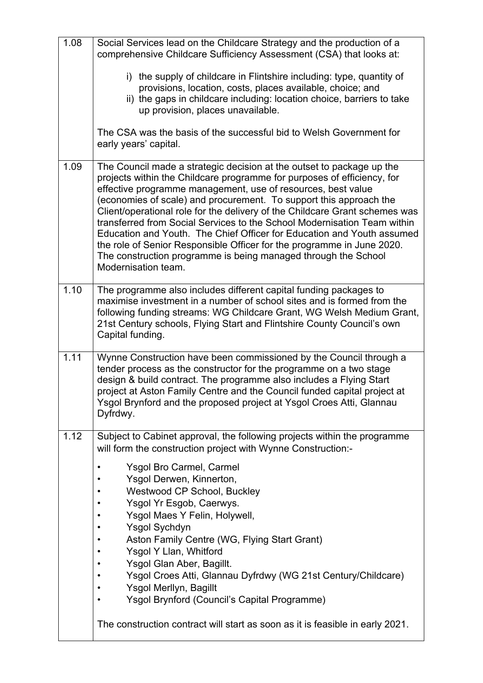| 1.08 | Social Services lead on the Childcare Strategy and the production of a<br>comprehensive Childcare Sufficiency Assessment (CSA) that looks at:                                                                                                                                                                                                                                                                                                                                                                                                                                                                                                                                                  |
|------|------------------------------------------------------------------------------------------------------------------------------------------------------------------------------------------------------------------------------------------------------------------------------------------------------------------------------------------------------------------------------------------------------------------------------------------------------------------------------------------------------------------------------------------------------------------------------------------------------------------------------------------------------------------------------------------------|
|      | i) the supply of childcare in Flintshire including: type, quantity of<br>provisions, location, costs, places available, choice; and<br>ii) the gaps in childcare including: location choice, barriers to take<br>up provision, places unavailable.                                                                                                                                                                                                                                                                                                                                                                                                                                             |
|      | The CSA was the basis of the successful bid to Welsh Government for<br>early years' capital.                                                                                                                                                                                                                                                                                                                                                                                                                                                                                                                                                                                                   |
| 1.09 | The Council made a strategic decision at the outset to package up the<br>projects within the Childcare programme for purposes of efficiency, for<br>effective programme management, use of resources, best value<br>(economies of scale) and procurement. To support this approach the<br>Client/operational role for the delivery of the Childcare Grant schemes was<br>transferred from Social Services to the School Modernisation Team within<br>Education and Youth. The Chief Officer for Education and Youth assumed<br>the role of Senior Responsible Officer for the programme in June 2020.<br>The construction programme is being managed through the School<br>Modernisation team. |
| 1.10 | The programme also includes different capital funding packages to<br>maximise investment in a number of school sites and is formed from the<br>following funding streams: WG Childcare Grant, WG Welsh Medium Grant,<br>21st Century schools, Flying Start and Flintshire County Council's own<br>Capital funding.                                                                                                                                                                                                                                                                                                                                                                             |
| 1.11 | Wynne Construction have been commissioned by the Council through a<br>tender process as the constructor for the programme on a two stage<br>design & build contract. The programme also includes a Flying Start<br>project at Aston Family Centre and the Council funded capital project at<br>Ysgol Brynford and the proposed project at Ysgol Croes Atti, Glannau<br>Dyfrdwy.                                                                                                                                                                                                                                                                                                                |
| 1.12 | Subject to Cabinet approval, the following projects within the programme<br>will form the construction project with Wynne Construction:-                                                                                                                                                                                                                                                                                                                                                                                                                                                                                                                                                       |
|      | <b>Ysgol Bro Carmel, Carmel</b><br>$\bullet$<br>Ysgol Derwen, Kinnerton,<br><b>Westwood CP School, Buckley</b><br>Ysgol Yr Esgob, Caerwys.<br>Ysgol Maes Y Felin, Holywell,                                                                                                                                                                                                                                                                                                                                                                                                                                                                                                                    |
|      | <b>Ysgol Sychdyn</b><br>Aston Family Centre (WG, Flying Start Grant)                                                                                                                                                                                                                                                                                                                                                                                                                                                                                                                                                                                                                           |
|      | Ysgol Y Llan, Whitford<br>Ysgol Glan Aber, Bagillt.<br>٠                                                                                                                                                                                                                                                                                                                                                                                                                                                                                                                                                                                                                                       |
|      | Ysgol Croes Atti, Glannau Dyfrdwy (WG 21st Century/Childcare)<br>$\bullet$<br>Ysgol Merllyn, Bagillt<br>٠                                                                                                                                                                                                                                                                                                                                                                                                                                                                                                                                                                                      |
|      | Ysgol Brynford (Council's Capital Programme)<br>$\bullet$                                                                                                                                                                                                                                                                                                                                                                                                                                                                                                                                                                                                                                      |
|      | The construction contract will start as soon as it is feasible in early 2021.                                                                                                                                                                                                                                                                                                                                                                                                                                                                                                                                                                                                                  |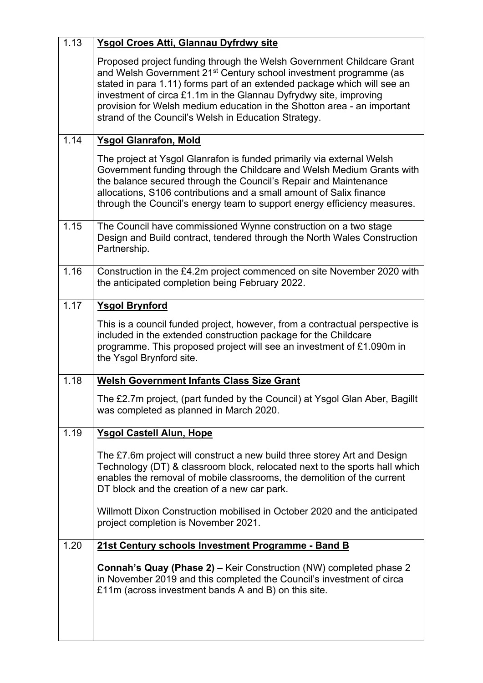| 1.13 | Ysgol Croes Atti, Glannau Dyfrdwy site                                                                                                                                                                                                                                                                                                                                                                                                     |
|------|--------------------------------------------------------------------------------------------------------------------------------------------------------------------------------------------------------------------------------------------------------------------------------------------------------------------------------------------------------------------------------------------------------------------------------------------|
|      | Proposed project funding through the Welsh Government Childcare Grant<br>and Welsh Government 21 <sup>st</sup> Century school investment programme (as<br>stated in para 1.11) forms part of an extended package which will see an<br>investment of circa £1.1m in the Glannau Dyfrydwy site, improving<br>provision for Welsh medium education in the Shotton area - an important<br>strand of the Council's Welsh in Education Strategy. |
| 1.14 | <b>Ysgol Glanrafon, Mold</b>                                                                                                                                                                                                                                                                                                                                                                                                               |
|      | The project at Ysgol Glanrafon is funded primarily via external Welsh<br>Government funding through the Childcare and Welsh Medium Grants with<br>the balance secured through the Council's Repair and Maintenance<br>allocations, S106 contributions and a small amount of Salix finance<br>through the Council's energy team to support energy efficiency measures.                                                                      |
| 1.15 | The Council have commissioned Wynne construction on a two stage<br>Design and Build contract, tendered through the North Wales Construction<br>Partnership.                                                                                                                                                                                                                                                                                |
| 1.16 | Construction in the £4.2m project commenced on site November 2020 with<br>the anticipated completion being February 2022.                                                                                                                                                                                                                                                                                                                  |
| 1.17 | <b>Ysgol Brynford</b>                                                                                                                                                                                                                                                                                                                                                                                                                      |
|      | This is a council funded project, however, from a contractual perspective is<br>included in the extended construction package for the Childcare<br>programme. This proposed project will see an investment of £1.090m in<br>the Ysgol Brynford site.                                                                                                                                                                                       |
| 1.18 | <b>Welsh Government Infants Class Size Grant</b>                                                                                                                                                                                                                                                                                                                                                                                           |
|      | The £2.7m project, (part funded by the Council) at Ysgol Glan Aber, Bagillt<br>was completed as planned in March 2020.                                                                                                                                                                                                                                                                                                                     |
| 1.19 | <b>Ysgol Castell Alun, Hope</b>                                                                                                                                                                                                                                                                                                                                                                                                            |
|      | The £7.6m project will construct a new build three storey Art and Design<br>Technology (DT) & classroom block, relocated next to the sports hall which<br>enables the removal of mobile classrooms, the demolition of the current<br>DT block and the creation of a new car park.                                                                                                                                                          |
|      | Willmott Dixon Construction mobilised in October 2020 and the anticipated<br>project completion is November 2021.                                                                                                                                                                                                                                                                                                                          |
| 1.20 | 21st Century schools Investment Programme - Band B                                                                                                                                                                                                                                                                                                                                                                                         |
|      | <b>Connah's Quay (Phase 2)</b> – Keir Construction (NW) completed phase 2<br>in November 2019 and this completed the Council's investment of circa<br>£11m (across investment bands A and B) on this site.                                                                                                                                                                                                                                 |
|      |                                                                                                                                                                                                                                                                                                                                                                                                                                            |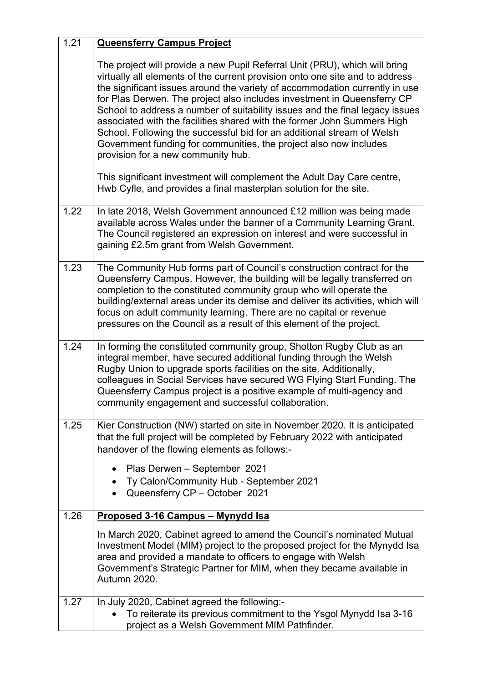| 1.21 | <b>Queensferry Campus Project</b>                                                                                                                                                                                                                                                                                                                                                                                                                                                                                                                                                                                                                                    |
|------|----------------------------------------------------------------------------------------------------------------------------------------------------------------------------------------------------------------------------------------------------------------------------------------------------------------------------------------------------------------------------------------------------------------------------------------------------------------------------------------------------------------------------------------------------------------------------------------------------------------------------------------------------------------------|
|      | The project will provide a new Pupil Referral Unit (PRU), which will bring<br>virtually all elements of the current provision onto one site and to address<br>the significant issues around the variety of accommodation currently in use<br>for Plas Derwen. The project also includes investment in Queensferry CP<br>School to address a number of suitability issues and the final legacy issues<br>associated with the facilities shared with the former John Summers High<br>School. Following the successful bid for an additional stream of Welsh<br>Government funding for communities, the project also now includes<br>provision for a new community hub. |
|      | This significant investment will complement the Adult Day Care centre,<br>Hwb Cyfle, and provides a final masterplan solution for the site.                                                                                                                                                                                                                                                                                                                                                                                                                                                                                                                          |
| 1.22 | In late 2018, Welsh Government announced £12 million was being made<br>available across Wales under the banner of a Community Learning Grant.<br>The Council registered an expression on interest and were successful in<br>gaining £2.5m grant from Welsh Government.                                                                                                                                                                                                                                                                                                                                                                                               |
| 1.23 | The Community Hub forms part of Council's construction contract for the<br>Queensferry Campus. However, the building will be legally transferred on<br>completion to the constituted community group who will operate the<br>building/external areas under its demise and deliver its activities, which will<br>focus on adult community learning. There are no capital or revenue<br>pressures on the Council as a result of this element of the project.                                                                                                                                                                                                           |
| 1.24 | In forming the constituted community group, Shotton Rugby Club as an<br>integral member, have secured additional funding through the Welsh<br>Rugby Union to upgrade sports facilities on the site. Additionally,<br>colleagues in Social Services have secured WG Flying Start Funding. The<br>Queensferry Campus project is a positive example of multi-agency and<br>community engagement and successful collaboration.                                                                                                                                                                                                                                           |
| 1.25 | Kier Construction (NW) started on site in November 2020. It is anticipated<br>that the full project will be completed by February 2022 with anticipated<br>handover of the flowing elements as follows:-<br>Plas Derwen - September 2021<br>Ty Calon/Community Hub - September 2021<br>Queensferry CP - October 2021                                                                                                                                                                                                                                                                                                                                                 |
| 1.26 | Proposed 3-16 Campus - Mynydd Isa                                                                                                                                                                                                                                                                                                                                                                                                                                                                                                                                                                                                                                    |
|      | In March 2020, Cabinet agreed to amend the Council's nominated Mutual<br>Investment Model (MIM) project to the proposed project for the Mynydd Isa<br>area and provided a mandate to officers to engage with Welsh<br>Government's Strategic Partner for MIM, when they became available in<br>Autumn 2020.                                                                                                                                                                                                                                                                                                                                                          |
| 1.27 | In July 2020, Cabinet agreed the following:-                                                                                                                                                                                                                                                                                                                                                                                                                                                                                                                                                                                                                         |
|      | To reiterate its previous commitment to the Ysgol Mynydd Isa 3-16<br>project as a Welsh Government MIM Pathfinder.                                                                                                                                                                                                                                                                                                                                                                                                                                                                                                                                                   |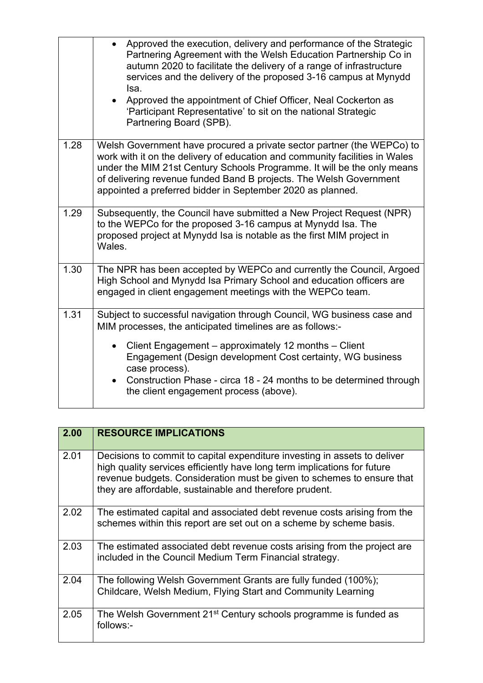|      | Approved the execution, delivery and performance of the Strategic<br>Partnering Agreement with the Welsh Education Partnership Co in<br>autumn 2020 to facilitate the delivery of a range of infrastructure<br>services and the delivery of the proposed 3-16 campus at Mynydd<br>Isa.<br>• Approved the appointment of Chief Officer, Neal Cockerton as<br>'Participant Representative' to sit on the national Strategic<br>Partnering Board (SPB). |
|------|------------------------------------------------------------------------------------------------------------------------------------------------------------------------------------------------------------------------------------------------------------------------------------------------------------------------------------------------------------------------------------------------------------------------------------------------------|
| 1.28 | Welsh Government have procured a private sector partner (the WEPCo) to<br>work with it on the delivery of education and community facilities in Wales<br>under the MIM 21st Century Schools Programme. It will be the only means<br>of delivering revenue funded Band B projects. The Welsh Government<br>appointed a preferred bidder in September 2020 as planned.                                                                                 |
| 1.29 | Subsequently, the Council have submitted a New Project Request (NPR)<br>to the WEPCo for the proposed 3-16 campus at Mynydd Isa. The<br>proposed project at Mynydd Isa is notable as the first MIM project in<br>Wales.                                                                                                                                                                                                                              |
| 1.30 | The NPR has been accepted by WEPCo and currently the Council, Argoed<br>High School and Mynydd Isa Primary School and education officers are<br>engaged in client engagement meetings with the WEPCo team.                                                                                                                                                                                                                                           |
| 1.31 | Subject to successful navigation through Council, WG business case and<br>MIM processes, the anticipated timelines are as follows:-<br>Client Engagement – approximately 12 months – Client<br>Engagement (Design development Cost certainty, WG business<br>case process).<br>Construction Phase - circa 18 - 24 months to be determined through<br>the client engagement process (above).                                                          |

| 2.00 | <b>RESOURCE IMPLICATIONS</b>                                                                                                                                                                                                                                                               |
|------|--------------------------------------------------------------------------------------------------------------------------------------------------------------------------------------------------------------------------------------------------------------------------------------------|
| 2.01 | Decisions to commit to capital expenditure investing in assets to deliver<br>high quality services efficiently have long term implications for future<br>revenue budgets. Consideration must be given to schemes to ensure that<br>they are affordable, sustainable and therefore prudent. |
| 2.02 | The estimated capital and associated debt revenue costs arising from the<br>schemes within this report are set out on a scheme by scheme basis.                                                                                                                                            |
| 2.03 | The estimated associated debt revenue costs arising from the project are<br>included in the Council Medium Term Financial strategy.                                                                                                                                                        |
| 2.04 | The following Welsh Government Grants are fully funded (100%);<br>Childcare, Welsh Medium, Flying Start and Community Learning                                                                                                                                                             |
| 2.05 | The Welsh Government 21 <sup>st</sup> Century schools programme is funded as<br>follows:-                                                                                                                                                                                                  |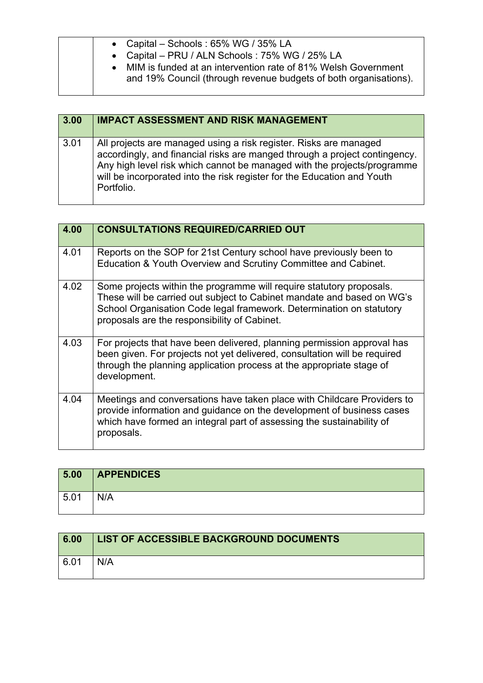|  | • Capital – Schools: $65\%$ WG / $35\%$ LA<br>• Capital - PRU / ALN Schools: 75% WG / 25% LA<br>• MIM is funded at an intervention rate of 81% Welsh Government<br>and 19% Council (through revenue budgets of both organisations). |
|--|-------------------------------------------------------------------------------------------------------------------------------------------------------------------------------------------------------------------------------------|
|--|-------------------------------------------------------------------------------------------------------------------------------------------------------------------------------------------------------------------------------------|

| 3.00 | <b>IMPACT ASSESSMENT AND RISK MANAGEMENT</b>                                                                                                                                                                                                                                                                        |
|------|---------------------------------------------------------------------------------------------------------------------------------------------------------------------------------------------------------------------------------------------------------------------------------------------------------------------|
| 3.01 | All projects are managed using a risk register. Risks are managed<br>accordingly, and financial risks are manged through a project contingency.<br>Any high level risk which cannot be managed with the projects/programme<br>will be incorporated into the risk register for the Education and Youth<br>Portfolio. |

| 4.00 | <b>CONSULTATIONS REQUIRED/CARRIED OUT</b>                                                                                                                                                                                                                              |
|------|------------------------------------------------------------------------------------------------------------------------------------------------------------------------------------------------------------------------------------------------------------------------|
| 4.01 | Reports on the SOP for 21st Century school have previously been to<br>Education & Youth Overview and Scrutiny Committee and Cabinet.                                                                                                                                   |
| 4.02 | Some projects within the programme will require statutory proposals.<br>These will be carried out subject to Cabinet mandate and based on WG's<br>School Organisation Code legal framework. Determination on statutory<br>proposals are the responsibility of Cabinet. |
| 4.03 | For projects that have been delivered, planning permission approval has<br>been given. For projects not yet delivered, consultation will be required<br>through the planning application process at the appropriate stage of<br>development.                           |
| 4.04 | Meetings and conversations have taken place with Childcare Providers to<br>provide information and guidance on the development of business cases<br>which have formed an integral part of assessing the sustainability of<br>proposals.                                |

| 5.00 | <b>APPENDICES</b> |
|------|-------------------|
| 5.01 | N/A               |

| 6.00 | <b>LIST OF ACCESSIBLE BACKGROUND DOCUMENTS</b> |
|------|------------------------------------------------|
| 6.01 | N/A                                            |